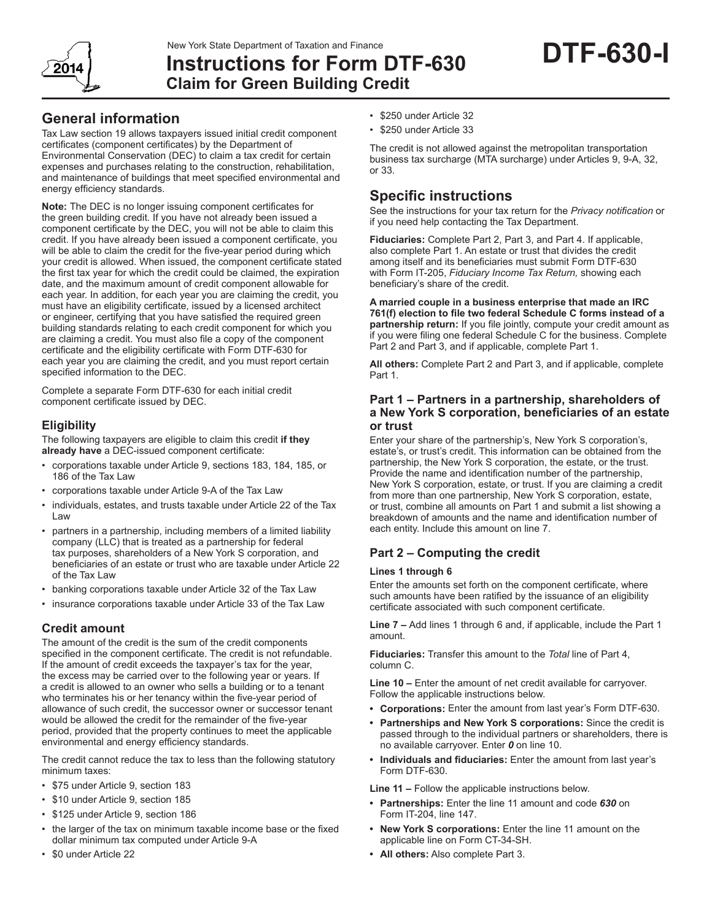2014

# **Instructions for Form DTF-630 Claim for Green Building Credit**

## **General information**

Tax Law section 19 allows taxpayers issued initial credit component certificates (component certificates) by the Department of Environmental Conservation (DEC) to claim a tax credit for certain expenses and purchases relating to the construction, rehabilitation, and maintenance of buildings that meet specified environmental and energy efficiency standards.

**Note:** The DEC is no longer issuing component certificates for the green building credit. If you have not already been issued a component certificate by the DEC, you will not be able to claim this credit. If you have already been issued a component certificate, you will be able to claim the credit for the five-year period during which your credit is allowed. When issued, the component certificate stated the first tax year for which the credit could be claimed, the expiration date, and the maximum amount of credit component allowable for each year. In addition, for each year you are claiming the credit, you must have an eligibility certificate, issued by a licensed architect or engineer, certifying that you have satisfied the required green building standards relating to each credit component for which you are claiming a credit. You must also file a copy of the component certificate and the eligibility certificate with Form DTF-630 for each year you are claiming the credit, and you must report certain specified information to the DEC.

Complete a separate Form DTF-630 for each initial credit component certificate issued by DEC.

## **Eligibility**

The following taxpayers are eligible to claim this credit **if they already have** a DEC-issued component certificate:

- corporations taxable under Article 9, sections 183, 184, 185, or 186 of the Tax Law
- corporations taxable under Article 9-A of the Tax Law
- individuals, estates, and trusts taxable under Article 22 of the Tax Law
- partners in a partnership, including members of a limited liability company (LLC) that is treated as a partnership for federal tax purposes, shareholders of a New York S corporation, and beneficiaries of an estate or trust who are taxable under Article 22 of the Tax Law
- banking corporations taxable under Article 32 of the Tax Law
- insurance corporations taxable under Article 33 of the Tax Law

## **Credit amount**

The amount of the credit is the sum of the credit components specified in the component certificate. The credit is not refundable. If the amount of credit exceeds the taxpayer's tax for the year, the excess may be carried over to the following year or years. If a credit is allowed to an owner who sells a building or to a tenant who terminates his or her tenancy within the five-year period of allowance of such credit, the successor owner or successor tenant would be allowed the credit for the remainder of the five-year period, provided that the property continues to meet the applicable environmental and energy efficiency standards.

The credit cannot reduce the tax to less than the following statutory minimum taxes:

- \$75 under Article 9, section 183
- \$10 under Article 9, section 185
- \$125 under Article 9, section 186
- the larger of the tax on minimum taxable income base or the fixed dollar minimum tax computed under Article 9-A
- \$0 under Article 22
- \$250 under Article 32
- \$250 under Article 33

The credit is not allowed against the metropolitan transportation business tax surcharge (MTA surcharge) under Articles 9, 9-A, 32, or 33.

# **Specific instructions**

See the instructions for your tax return for the *Privacy notification* or if you need help contacting the Tax Department.

**Fiduciaries:** Complete Part 2, Part 3, and Part 4. If applicable, also complete Part 1. An estate or trust that divides the credit among itself and its beneficiaries must submit Form DTF-630 with Form IT-205, *Fiduciary Income Tax Return,* showing each beneficiary's share of the credit.

**A married couple in a business enterprise that made an IRC 761(f) election to file two federal Schedule C forms instead of a partnership return:** If you file jointly, compute your credit amount as if you were filing one federal Schedule C for the business. Complete Part 2 and Part 3, and if applicable, complete Part 1.

**All others:** Complete Part 2 and Part 3, and if applicable, complete Part 1.

## **Part 1 – Partners in a partnership, shareholders of a New York S corporation, beneficiaries of an estate or trust**

Enter your share of the partnership's, New York S corporation's, estate's, or trust's credit. This information can be obtained from the partnership, the New York S corporation, the estate, or the trust. Provide the name and identification number of the partnership, New York S corporation, estate, or trust. If you are claiming a credit from more than one partnership, New York S corporation, estate, or trust, combine all amounts on Part 1 and submit a list showing a breakdown of amounts and the name and identification number of each entity. Include this amount on line 7.

## **Part 2 – Computing the credit**

#### **Lines 1 through 6**

Enter the amounts set forth on the component certificate, where such amounts have been ratified by the issuance of an eligibility certificate associated with such component certificate.

**Line 7 –** Add lines 1 through 6 and, if applicable, include the Part 1 amount.

**Fiduciaries:** Transfer this amount to the *Total* line of Part 4, column C.

**Line 10 –** Enter the amount of net credit available for carryover. Follow the applicable instructions below.

- **• Corporations:** Enter the amount from last year's Form DTF‑630.
- **• Partnerships and New York S corporations:** Since the credit is passed through to the individual partners or shareholders, there is no available carryover. Enter *0* on line 10.
- **• Individuals and fiduciaries:** Enter the amount from last year's Form DTF-630.

**Line 11 –** Follow the applicable instructions below.

- **• Partnerships:** Enter the line 11 amount and code *630* on Form IT-204, line 147.
- **• New York S corporations:** Enter the line 11 amount on the applicable line on Form CT-34-SH.
- **• All others:** Also complete Part 3.